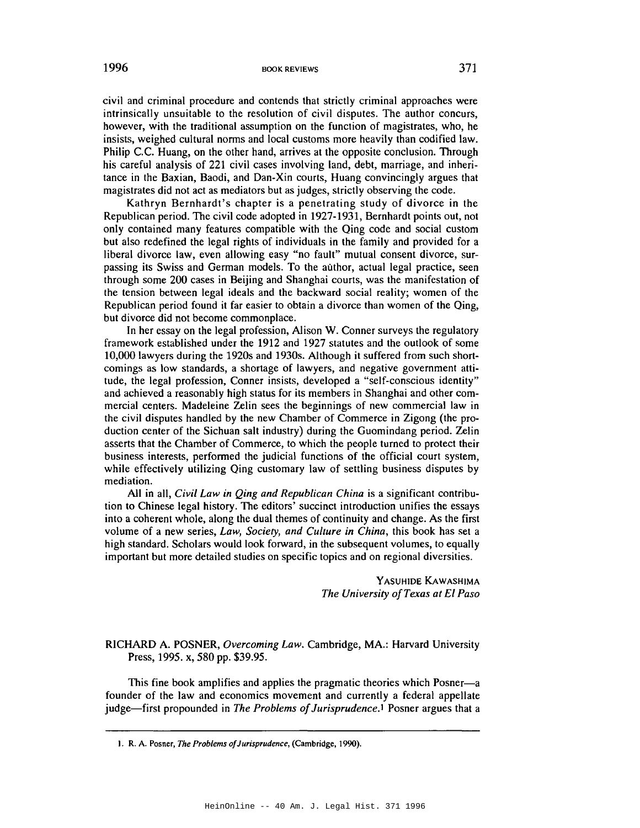1996 BOOK REVIEWS 371

civil and criminal procedure and contends that strictly criminal approaches were intrinsically unsuitable to the resolution of civil disputes. The author concurs, however, with the traditional assumption on the function of magistrates, who, he insists, weighed cultural norms and local customs more heavily than codified law. Philip c.c. Huang, on the other hand, arrives at the opposite conclusion. Through his careful analysis of 221 civil cases involving land, debt, marriage, and inheritance in the Baxian, Baodi, and Dan-Xin courts, Huang convincingly argues that magistrates did not act as mediators but as judges, strictly observing the code.

Kathryn Bernhardt's chapter is a penetrating study of divorce in the Republican period. The civil code adopted in 1927-1931, Bernhardt points out, not only contained many features compatible with the Qing code and social custom but also redefined the legal rights of individuals in the family and provided for a liberal divorce law, even allowing easy "no fault" mutual consent divorce, surpassing its Swiss and German models. To the author, actual legal practice, seen through some 200 cases in Beijing and Shanghai courts, was the manifestation of the tension between legal ideals and the backward social reality; women of the Republican period found it far easier to obtain a divorce than women of the Qing, but divorce did not become commonplace.

In her essay on the legal profession, Alison W. Conner surveys the regulatory framework established under the 1912 and 1927 statutes and the outlook of some 10,000 lawyers during the 1920s and 1930s. Although it suffered from such shortcomings as low standards, a shortage of lawyers, and negative government attitude, the legal profession, Conner insists, developed a "self-conscious identity" and achieved a reasonably high status for its members in Shanghai and other commercial centers. Madeleine Zelin sees the beginnings of new commercial law in the civil disputes handled by the new Chamber of Commerce in Zigong (the production center of the Sichuan salt industry) during the Guomindang period. Zelin asserts that the Chamber of Commerce, to which the people turned to protect their business interests, performed the judicial functions of the official court system, while effectively utilizing Qing customary law of settling business disputes by mediation.

All in all, *Civil Law in Qing and Republican China* is a significant contribution to Chinese legal history. The editors' succinct introduction unifies the essays into a coherent whole, along the dual themes of continuity and change. As the first volume of a new series, *Law, Society, and Culture in China,* this book has set a high standard. Scholars would look forward, in the subsequent volumes, to equally important but more detailed studies on specific topics and on regional diversities.

> YASUHIDE KAWASHIMA *The University ofTexas at El Paso*

RICHARD A. POSNER, *Overcoming Law.* Cambridge, MA.: Harvard University Press, 1995. x, 580 pp. \$39.95.

This fine book amplifies and applies the pragmatic theories which Posner-a founder of the law and economics movement and currently a federal appellate judge-first propounded in *The Problems ofJurisprudence.!* Posner argues that a

I. R. A. Posner, *The Problems of}urisprudence,* (Cambridge, 1990).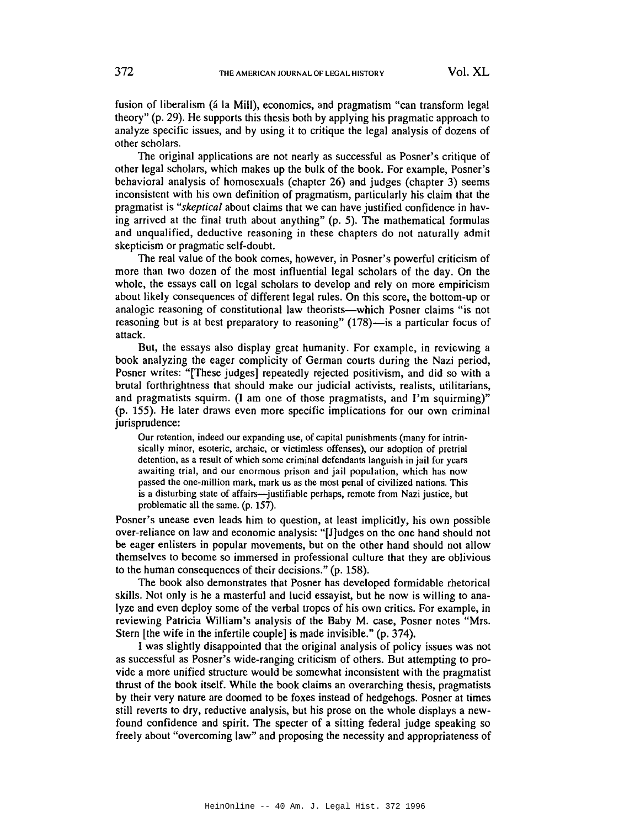fusion of liberalism (á la Mill), economics, and pragmatism "can transform legal theory" (p. 29). He supports this thesis both by applying his pragmatic approach to analyze specific issues, and by using it to critique the legal analysis of dozens of other scholars.

The original applications are not nearly as successful as Posner's critique of other legal scholars, which makes up the bulk of the book. For example, Posner's behavioral analysis of homosexuals (chapter 26) and judges (chapter 3) seems inconsistent with his own definition of pragmatism, particularly his claim that the pragmatist is *"skeptical* about claims that we can have justified confidence in having arrived at the final truth about anything" (p. 5). The mathematical formulas and unqualified, deductive reasoning in these chapters do not naturally admit skepticism or pragmatic self-doubt.

The real value of the book comes, however, in Posner's powerful criticism of more than two dozen of the most influential legal scholars of the day. On the whole, the essays call on legal scholars to develop and rely on more empiricism about likely consequences of different legal rules. On this score, the bottom-up or analogic reasoning of constitutional law theorists-which Posner claims "is not reasoning but is at best preparatory to reasoning" (178)—is a particular focus of attack.

But, the essays also display great humanity. For example, in reviewing a book analyzing the eager complicity of German courts during the Nazi period, Posner writes: "[These judges] repeatedly rejected positivism, and did so with a brutal forthrightness that should make our judicial activists, realists, utilitarians, and pragmatists squirm. (I am one of those pragmatists, and I'm squirming)" (p. 155). He later draws even more specific implications for our own criminal jurisprudence:

Our retention, indeed our expanding usc, of capital punishments (many for intrinsically minor, esoteric, archaic, or victimless offenses), our adoption of pretrial detention, as a result of which some criminal defendants languish in jail for years awaiting trial, and our enormous prison and jail population, which has now passed the one-million mark, mark us as the most penal of civilized nations. This is a disturbing state of affairs—justifiable perhaps, remote from Nazi justice, but problematic all the same. (p. 157).

Posner's unease even leads him to question, at least implicitly, his own possible over-reliance on law and economic analysis: "[J]udges on the one hand should not be eager enlisters in popular movements, but on the other hand should not allow themselves to become so immersed in professional culture that they are oblivious to the human consequences of their decisions." (p. 158).

The book also demonstrates that Posner has developed formidable rhetorical skills. Not only is he a masterful and lucid essayist, but he now is willing to analyze and even deploy some of the verbal tropes of his own critics. For example, in reviewing Patricia William's analysis of the Baby M. case, Posner notes "Mrs. Stern [the wife in the infertile couple] is made invisible." (p. 374).

I was slightly disappointed that the original analysis of policy issues was not as successful as Posner's wide-ranging criticism of others. But attempting to provide a more unified structure would be somewhat inconsistent with the pragmatist thrust of the book itself. While the book claims an overarching thesis, pragmatists by their very nature are doomed to be foxes instead of hedgehogs. Posner at times still reverts to dry, reductive analysis, but his prose on the whole displays a newfound confidence and spirit. The specter of a sitting federal judge speaking so freely about "overcoming law" and proposing the necessity and appropriateness of